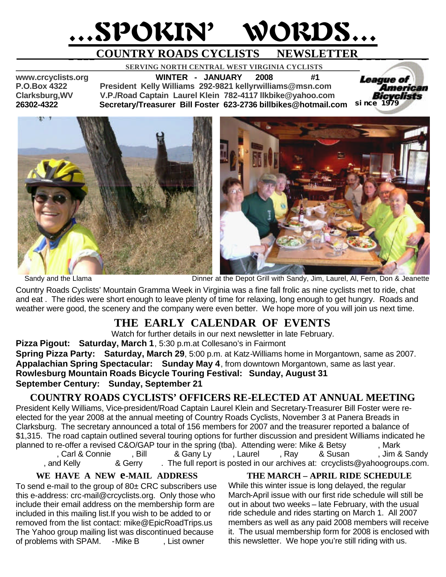# …SPOKIN' WORDS…

# **\_ \_\_\_COUNTRY ROADS CYCLISTS NEWSLETTER\_ \_ \_\_ \_ \_**

 **SERVING NORTH CENTRAL WEST VIRGINIA CYCLISTS** 

**www.crcyclists.org WINTER - JANUARY 2008 #1 P.O.Box 4322 President Kelly Williams 292-9821 kellyrwilliams@msn.com Clarksburg,WV V.P./Road Captain Laurel Klein 782-4117 llkbike@yahoo.com 26302-4322 Secretary/Treasurer Bill Foster 623-2736 billbikes@hotmail.com** 





*since 1979*

American

*League of* 

Sandy and the Llama Dinner at the Depot Grill with Sandy, Jim, Laurel, Al, Fern, Don & Jeanette

Country Roads Cyclists' Mountain Gramma Week in Virginia was a fine fall frolic as nine cyclists met to ride, chat and eat . The rides were short enough to leave plenty of time for relaxing, long enough to get hungry. Roads and weather were good, the scenery and the company were even better. We hope more of you will join us next time.

## **THE EARLY CALENDAR OF EVENTS**

Watch for further details in our next newsletter in late February.

**Pizza Pigout: Saturday, March 1**, 5:30 p.m.at Collesano's in Fairmont **Spring Pizza Party: Saturday, March 29**, 5:00 p.m. at Katz-Williams home in Morgantown, same as 2007. **Appalachian Spring Spectacular: Sunday May 4**, from downtown Morgantown, same as last year. **Rowlesburg Mountain Roads Bicycle Touring Festival: Sunday, August 31 September Century: Sunday, September 21**

## **COUNTRY ROADS CYCLISTS' OFFICERS RE-ELECTED AT ANNUAL MEETING**

President Kelly Williams, Vice-president/Road Captain Laurel Klein and Secretary-Treasurer Bill Foster were reelected for the year 2008 at the annual meeting of Country Roads Cyclists, November 3 at Panera Breads in Clarksburg. The secretary announced a total of 156 members for 2007 and the treasurer reported a balance of \$1,315. The road captain outlined several touring options for further discussion and president Williams indicated he planned to re-offer a revised C&O/GAP tour in the spring (tba). Attending were: Mike & Betsy and Mark Carl & Connie Bill A Gany Ly Daurel Bay A Susan Dim & Sandy, Ray A Susan Allem, Ray A Sandy, Ray A Susan Allem,

, and Kelly  $\&$  Gerry  $\&$ . The full report is posted in our archives at: crcyclists@yahoogroups.com.

**WE HAVE A NEW e-MAIL ADDRESS**

To send e-mail to the group of 80± CRC subscribers use this e-address: crc-mail@crcyclists.org. Only those who include their email address on the membership form are included in this mailing list.If you wish to be added to or removed from the list contact: mike@EpicRoadTrips.us The Yahoo group mailing list was discontinued because of problems with SPAM. - Mike B. List owner

#### **THE MARCH – APRIL RIDE SCHEDULE**

While this winter issue is long delayed, the regular March-April issue with our first ride schedule will still be out in about two weeks – late February, with the usual ride schedule and rides starting on March 1. All 2007 members as well as any paid 2008 members will receive it. The usual membership form for 2008 is enclosed with this newsletter. We hope you're still riding with us.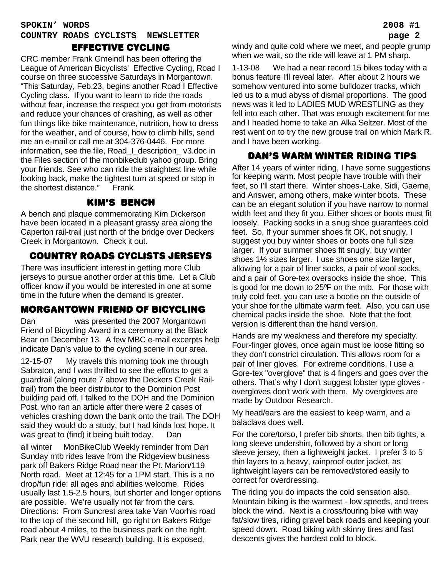## **SPOKIN' WORDS 2008 #1 COUNTRY ROADS CYCLISTS NEWSLETTER page 2**

#### effective cycling

CRC member Frank Gmeindl has been offering the League of American Bicyclists' Effective Cycling, Road I course on three successive Saturdays in Morgantown. "This Saturday, Feb.23, begins another Road I Effective Cycling class. If you want to learn to ride the roads without fear, increase the respect you get from motorists and reduce your chances of crashing, as well as other fun things like bike maintenance, nutrition, how to dress for the weather, and of course, how to climb hills, send me an e-mail or call me at 304-376-0446. For more information, see the file, Road\_I\_description\_ v3.doc in the Files section of the monbikeclub yahoo group. Bring your friends. See who can ride the straightest line while looking back, make the tightest turn at speed or stop in the shortest distance." Frank

#### kim's bench

A bench and plaque commemorating Kim Dickerson have been located in a pleasant grassy area along the Caperton rail-trail just north of the bridge over Deckers Creek in Morgantown. Check it out.

## country roads cyclists jerseys

There was insufficient interest in getting more Club jerseys to pursue another order at this time. Let a Club officer know if you would be interested in one at some time in the future when the demand is greater.

## morgantown friend of bicycling

Dan was presented the 2007 Morgantown Friend of Bicycling Award in a ceremony at the Black Bear on December 13. A few MBC e-mail excerpts help indicate Dan's value to the cycling scene in our area.

12-15-07 My travels this morning took me through Sabraton, and I was thrilled to see the efforts to get a guardrail (along route 7 above the Deckers Creek Railtrail) from the beer distributor to the Dominion Post building paid off. I talked to the DOH and the Dominion Post, who ran an article after there were 2 cases of vehicles crashing down the bank onto the trail. The DOH said they would do a study, but I had kinda lost hope. It was great to (find) it being built today. Dan

all winter MonBikeClub Weekly reminder from Dan Sunday mtb rides leave from the Ridgeview business park off Bakers Ridge Road near the Pt. Marion/119 North road. Meet at 12:45 for a 1PM start. This is a no drop/fun ride: all ages and abilities welcome. Rides usually last 1.5-2.5 hours, but shorter and longer options are possible. We're usually not far from the cars. Directions: From Suncrest area take Van Voorhis road to the top of the second hill, go right on Bakers Ridge road about 4 miles, to the business park on the right. Park near the WVU research building. It is exposed,

windy and quite cold where we meet, and people grump when we wait, so the ride will leave at 1 PM sharp.

1-13-08 We had a near record 15 bikes today with a bonus feature I'll reveal later. After about 2 hours we somehow ventured into some bulldozer tracks, which led us to a mud abyss of dismal proportions. The good news was it led to LADIES MUD WRESTLING as they fell into each other. That was enough excitement for me and I headed home to take an Alka Seltzer. Most of the rest went on to try the new grouse trail on which Mark R. and I have been working.

## Dan's warm winter riding tips

After 14 years of winter riding, I have some suggestions for keeping warm. Most people have trouble with their feet, so I'll start there. Winter shoes-Lake, Sidi, Gaerne, and Answer, among others, make winter boots. These can be an elegant solution if you have narrow to normal width feet and they fit you. Either shoes or boots must fit loosely. Packing socks in a snug shoe guarantees cold feet. So, If your summer shoes fit OK, not snugly, I suggest you buy winter shoes or boots one full size larger. If your summer shoes fit snugly, buy winter shoes 1½ sizes larger. I use shoes one size larger, allowing for a pair of liner socks, a pair of wool socks, and a pair of Gore-tex oversocks inside the shoe. This is good for me down to 25ºF on the mtb. For those with truly cold feet, you can use a bootie on the outside of your shoe for the ultimate warm feet. Also, you can use chemical packs inside the shoe. Note that the foot version is different than the hand version.

Hands are my weakness and therefore my specialty. Four-finger gloves, once again must be loose fitting so they don't constrict circulation. This allows room for a pair of liner gloves. For extreme conditions, I use a Gore-tex "overglove" that is 4 fingers and goes over the others. That's why I don't suggest lobster type gloves overgloves don't work with them. My overgloves are made by Outdoor Research.

My head/ears are the easiest to keep warm, and a balaclava does well.

For the core/torso, I prefer bib shorts, then bib tights, a long sleeve undershirt, followed by a short or long sleeve jersey, then a lightweight jacket. I prefer 3 to 5 thin layers to a heavy, rainproof outer jacket, as lightweight layers can be removed/stored easily to correct for overdressing.

The riding you do impacts the cold sensation also. Mountain biking is the warmest - low speeds, and trees block the wind. Next is a cross/touring bike with way fat/slow tires, riding gravel back roads and keeping your speed down. Road biking with skinny tires and fast descents gives the hardest cold to block.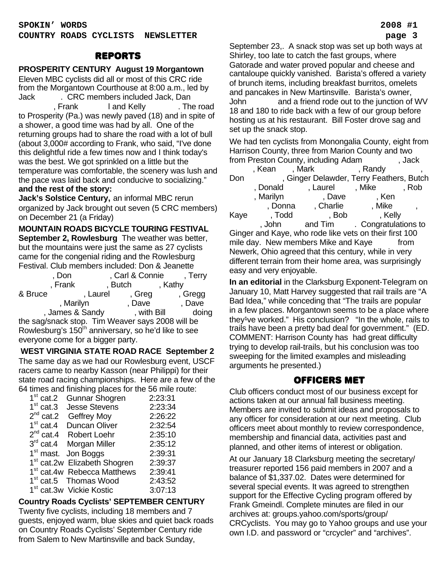#### reports

#### **PROSPERITY CENTURY August 19 Morgantown**

Eleven MBC cyclists did all or most of this CRC ride from the Morgantown Courthouse at 8:00 a.m., led by Jack Barker. CRC members included Jack, Dan Frank I and Kelly The road to Prosperity (Pa.) was newly paved (18) and in spite of a shower, a good time was had by all. One of the returning groups had to share the road with a lot of bull (about 3,000# according to Frank, who said, "I've done this delightful ride a few times now and I think today's was the best. We got sprinkled on a little but the temperature was comfortable, the scenery was lush and the pace was laid back and conducive to socializing." **and the rest of the story:**

**Jack's Solstice Century,** an informal MBC rerun organized by Jack brought out seven (5 CRC members) on December 21 (a Friday)

**MOUNTAIN ROADS BICYCLE TOURING FESTIVAL September 2, Rowlesburg** The weather was better, but the mountains were just the same as 27 cyclists came for the congenial riding and the Rowlesburg Festival. Club members included: Don & Jeanette

| , Don                                                           |                 | , Carl & Connie | , Terry |
|-----------------------------------------------------------------|-----------------|-----------------|---------|
| , Frank                                                         |                 | , Butch         | , Kathy |
| & Bruce                                                         | , Laurel        | , Greg          | , Gregg |
|                                                                 | , Marilyn       | , Dave          | , Dave  |
|                                                                 | , James & Sandy | , with Bill     | doing   |
| the sag/snack stop. Tim Weaver says 2008 will be                |                 |                 |         |
| Rowlesburg's 150 <sup>th</sup> anniversary, so he'd like to see |                 |                 |         |
| everyone come for a bigger party.                               |                 |                 |         |

 **WEST VIRGINIA STATE ROAD RACE September 2** The same day as we had our Rowlesburg event, USCF racers came to nearby Kasson (near Philippi) for their state road racing championships. Here are a few of the 64 times and finishing places for the 56 mile route:

|             | on annou and mnormig placed for and do mmo roal |         |
|-------------|-------------------------------------------------|---------|
|             | 1 <sup>st</sup> cat.2 Gunnar Shogren            | 2:23:31 |
|             | 1 <sup>st</sup> cat.3 Jesse Stevens             | 2:23:34 |
|             | $2^{nd}$ cat.2 Geffrey Moy                      | 2:26:22 |
| $1st$ cat.4 | Duncan Oliver                                   | 2:32:54 |
|             | 2 <sup>nd</sup> cat.4 Robert Loehr              | 2:35:10 |
|             | 3 <sup>rd</sup> cat.4 Morgan Miller             | 2:35:12 |
|             | 1 <sup>st</sup> mast. Jon Boggs                 | 2:39:31 |
|             | 1 <sup>st</sup> cat.2w Elizabeth Shogren        | 2:39:37 |
|             | 1 <sup>st</sup> cat.4w Rebecca Matthews         | 2:39:41 |
|             | 1 <sup>st</sup> cat.5 Thomas Wood               | 2:43:52 |
|             | 1 <sup>st</sup> cat.3w Vickie Kostic            | 3:07:13 |
|             |                                                 |         |

#### **Country Roads Cyclists' SEPTEMBER CENTURY**

Twenty five cyclists, including 18 members and 7 guests, enjoyed warm, blue skies and quiet back roads on Country Roads Cyclists' September Century ride from Salem to New Martinsville and back Sunday,

September 23,. A snack stop was set up both ways at Shirley, too late to catch the fast groups, where Gatorade and water proved popular and cheese and cantaloupe quickly vanished. Barista's offered a variety of brunch items, including breakfast burritos, omelets and pancakes in New Martinsville. Barista's owner, John and a friend rode out to the junction of WV 18 and 180 to ride back with a few of our group before hosting us at his restaurant. Bill Foster drove sag and set up the snack stop.

We had ten cyclists from Monongalia County, eight from Harrison County, three from Marion County and two from Preston County, including Adam Freston, Jack

|                                                          | , Kean    | , Mark                                   | , Randy                      |       |
|----------------------------------------------------------|-----------|------------------------------------------|------------------------------|-------|
| Don                                                      |           | , Ginger Delawder, Terry Feathers, Butch |                              |       |
|                                                          | , Donald  | , Laurel                                 | , Mike                       | , Rob |
|                                                          | , Marilyn | , Dave                                   | , Ken                        |       |
|                                                          | , Donna   | , Charlie                                | , Mike                       |       |
| Kaye                                                     | , Todd    | , Bob                                    | , Kelly                      |       |
|                                                          | , John    |                                          | and Tim . Congratulations to |       |
| Ginger and Kaye, who rode like vets on their first 100   |           |                                          |                              |       |
| mile day. New members Mike and Kaye<br>from              |           |                                          |                              |       |
| Newerk, Ohio agreed that this century, while in very     |           |                                          |                              |       |
| different terrain from their home area, was surprisingly |           |                                          |                              |       |

**In an editorial** in the Clarksburg Exponent-Telegram on January 10, Matt Harvey suggested that rail trails are "A Bad Idea," while conceding that "The trails are popular in a few places. Morgantown seems to be a place where they<sup>1</sup>ve worked." His conclusion? "In the whole, rails to trails have been a pretty bad deal for government." (ED. COMMENT: Harrison County has had great difficulty trying to develop rail-trails, but his conclusion was too sweeping for the limited examples and misleading arguments he presented.)

easy and very enjoyable.

#### officers met

Club officers conduct most of our business except for actions taken at our annual fall business meeting. Members are invited to submit ideas and proposals to any officer for consideration at our next meeting. Club officers meet about monthly to review correspondence, membership and financial data, activities past and planned, and other items of interest or obligation.

At our January 18 Clarksburg meeting the secretary/ treasurer reported 156 paid members in 2007 and a balance of \$1,337.02. Dates were determined for several special events. It was agreed to strengthen support for the Effective Cycling program offered by Frank Gmeindl. Complete minutes are filed in our archives at: groups.yahoo.com/sports/group/ CRCyclists. You may go to Yahoo groups and use your own I.D. and password or "crcycler" and "archives".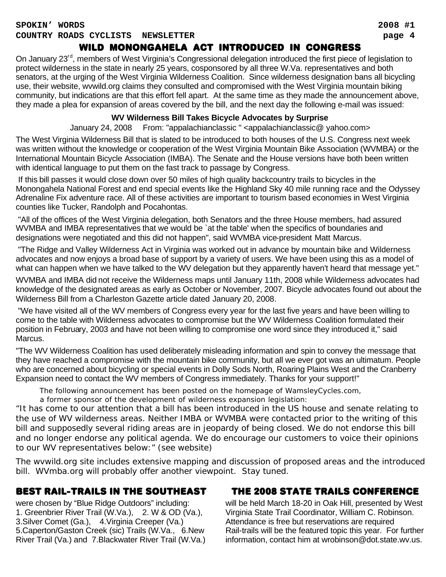## wild monongahela act introduced in congress

On January 23<sup>rd</sup>, members of West Virginia's Congressional delegation introduced the first piece of legislation to protect wilderness in the state in nearly 25 years, cosponsored by all three W.Va. representatives and both senators, at the urging of the West Virginia Wilderness Coalition. Since wilderness designation bans all bicycling use, their website, wvwild.org claims they consulted and compromised with the West Virginia mountain biking community, but indications are that this effort fell apart. At the same time as they made the announcement above, they made a plea for expansion of areas covered by the bill, and the next day the following e-mail was issued:

#### **WV Wilderness Bill Takes Bicycle Advocates by Surprise**

January 24, 2008 From: "appalachianclassic " <appalachianclassic@ yahoo.com>

The West Virginia Wilderness Bill that is slated to be introduced to both houses of the U.S. Congress next week was written without the knowledge or cooperation of the West Virginia Mountain Bike Association (WVMBA) or the International Mountain Bicycle Association (IMBA). The Senate and the House versions have both been written with identical language to put them on the fast track to passage by Congress.

 If this bill passes it would close down over 50 miles of high quality backcountry trails to bicycles in the Monongahela National Forest and end special events like the Highland Sky 40 mile running race and the Odyssey Adrenaline Fix adventure race. All of these activities are important to tourism based economies in West Virginia counties like Tucker, Randolph and Pocahontas.

 "All of the offices of the West Virginia delegation, both Senators and the three House members, had assured WVMBA and IMBA representatives that we would be 'at the table' when the specifics of boundaries and designations were negotiated and this did not happen", said WVMBA vice-president Matt Marcus.

 "The Ridge and Valley Wilderness Act in Virginia was worked out in advance by mountain bike and Wilderness advocates and now enjoys a broad base of support by a variety of users. We have been using this as a model of what can happen when we have talked to the WV delegation but they apparently haven't heard that message yet."

WVMBA and IMBA did not receive the Wilderness maps until January 11th, 2008 while Wilderness advocates had knowledge of the designated areas as early as October or November, 2007. Bicycle advocates found out about the Wilderness Bill from a Charleston Gazette article dated January 20, 2008.

 "We have visited all of the WV members of Congress every year for the last five years and have been willing to come to the table with Wilderness advocates to compromise but the WV Wilderness Coalition formulated their position in February, 2003 and have not been willing to compromise one word since they introduced it," said Marcus.

"The WV Wilderness Coalition has used deliberately misleading information and spin to convey the message that they have reached a compromise with the mountain bike community, but all we ever got was an ultimatum. People who are concerned about bicycling or special events in Dolly Sods North, Roaring Plains West and the Cranberry Expansion need to contact the WV members of Congress immediately. Thanks for your support!"

The following announcement has been posted on the homepage of WamsleyCycles.com,

a former sponsor of the development of wilderness expansion legislation:

"It has come to our attention that a bill has been introduced in the US house and senate relating to the use of WV wilderness areas. Neither IMBA or WVMBA were contacted prior to the writing of this bill and supposedly several riding areas are in jeopardy of being closed. We do not endorse this bill and no longer endorse any political agenda. We do encourage our customers to voice their opinions to our WV representatives below:" (see website)

The wvwild.org site includes extensive mapping and discussion of proposed areas and the introduced bill. WVmba.org will probably offer another viewpoint. Stay tuned.

## best rail-trails in the southeast

were chosen by "Blue Ridge Outdoors" including: 1. Greenbrier River Trail (W.Va.), 2. W & OD (Va.), 3.Silver Comet (Ga.), 4.Virginia Creeper (Va.) 5.Caperton/Gaston Creek (sic) Trails (W.Va., 6.New River Trail (Va.) and 7.Blackwater River Trail (W.Va.)

## the 2008 state trails conference

will be held March 18-20 in Oak Hill, presented by West Virginia State Trail Coordinator, William C. Robinson. Attendance is free but reservations are required Rail-trails will be the featured topic this year. For further information, contact him at wrobinson@dot.state.wv.us.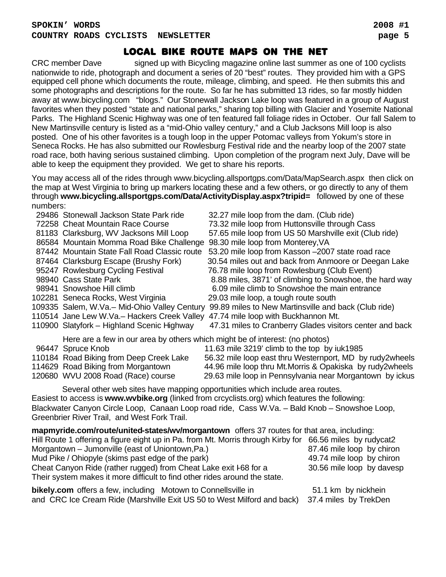## local bike route maps on the net

CRC member Dave signed up with Bicycling magazine online last summer as one of 100 cyclists nationwide to ride, photograph and document a series of 20 "best" routes. They provided him with a GPS equipped cell phone which documents the route, mileage, climbing, and speed. He then submits this and some photographs and descriptions for the route. So far he has submitted 13 rides, so far mostly hidden away at www.bicycling.com "blogs." Our Stonewall Jackson Lake loop was featured in a group of August favorites when they posted "state and national parks," sharing top billing with Glacier and Yosemite National Parks. The Highland Scenic Highway was one of ten featured fall foliage rides in October. Our fall Salem to New Martinsville century is listed as a "mid-Ohio valley century," and a Club Jacksons Mill loop is also posted. One of his other favorites is a tough loop in the upper Potomac valleys from Yokum's store in Seneca Rocks. He has also submitted our Rowlesburg Festival ride and the nearby loop of the 2007 state road race, both having serious sustained climbing. Upon completion of the program next July, Dave will be able to keep the equipment they provided. We get to share his reports.

You may access all of the rides through www.bicycling.allsportgps.com/Data/MapSearch.aspx then click on the map at West Virginia to bring up markers locating these and a few others, or go directly to any of them through **www.bicycling.allsportgps.com/Data/ActivityDisplay.aspx?tripid=** followed by one of these numbers:

|                                                                                                | 29486 Stonewall Jackson State Park ride                                       | 32.27 mile loop from the dam. (Club ride)                |  |
|------------------------------------------------------------------------------------------------|-------------------------------------------------------------------------------|----------------------------------------------------------|--|
|                                                                                                | 72258 Cheat Mountain Race Course                                              | 73.32 mile loop from Huttonsville through Cass           |  |
|                                                                                                | 81183 Clarksburg, WV Jacksons Mill Loop                                       | 57.65 mile loop from US 50 Marshville exit (Club ride)   |  |
|                                                                                                | 86584 Mountain Momma Road Bike Challenge                                      | 98.30 mile loop from Monterey, VA                        |  |
|                                                                                                | 87442 Mountain State Fall Road Classic route                                  | 53.20 mile loop from Kasson -2007 state road race        |  |
|                                                                                                | 87464 Clarksburg Escape (Brushy Fork)                                         | 30.54 miles out and back from Anmoore or Deegan Lake     |  |
|                                                                                                | 95247 Rowlesburg Cycling Festival                                             | 76.78 mile loop from Rowlesburg (Club Event)             |  |
|                                                                                                | 98940 Cass State Park                                                         | 8.88 miles, 3871' of climbing to Snowshoe, the hard way  |  |
|                                                                                                | 98941 Snowshoe Hill climb                                                     | 6.09 mile climb to Snowshoe the main entrance            |  |
|                                                                                                | 102281 Seneca Rocks, West Virginia                                            | 29.03 mile loop, a tough route south                     |  |
|                                                                                                | 109335 Salem, W.Va.- Mid-Ohio Valley Century                                  | 99.89 miles to New Martinsville and back (Club ride)     |  |
|                                                                                                | 110514 Jane Lew W.Va.- Hackers Creek Valley                                   | 47.74 mile loop with Buckhannon Mt.                      |  |
|                                                                                                | 110900 Slatyfork - Highland Scenic Highway                                    | 47.31 miles to Cranberry Glades visitors center and back |  |
|                                                                                                | Here are a few in our area by others which might be of interest: (no photos)  |                                                          |  |
|                                                                                                | 96447 Spruce Knob                                                             | 11.63 mile 3219' climb to the top by iuk1985             |  |
|                                                                                                | 110184 Road Biking from Deep Creek Lake                                       | 56.32 mile loop east thru Westernport, MD by rudy2wheels |  |
|                                                                                                | 114629 Road Biking from Morgantown                                            | 44.96 mile loop thru Mt.Morris & Opakiska by rudy2wheels |  |
|                                                                                                | 120680 WVU 2008 Road (Race) course                                            | 29.63 mile loop in Pennsylvania near Morgantown by ickus |  |
|                                                                                                | Several other web sites have mapping opportunities which include area routes. |                                                          |  |
| Easiest to access is www.wvbike.org (linked from crcyclists.org) which features the following: |                                                                               |                                                          |  |
| Blackwater Canyon Circle Loop, Canaan Loop road ride, Cass W.Va. - Bald Knob - Snowshoe Loop,  |                                                                               |                                                          |  |

Greenbrier River Trail, and West Fork Trail.

| mapmyride.com/route/united-states/wv/morgantown offers 37 routes for that area, including:               |                           |
|----------------------------------------------------------------------------------------------------------|---------------------------|
| Hill Route 1 offering a figure eight up in Pa. from Mt. Morris through Kirby for 66.56 miles by rudycat2 |                           |
| Morgantown - Jumonville (east of Uniontown, Pa.)                                                         | 87.46 mile loop by chiron |
| Mud Pike / Ohiopyle (skims past edge of the park)                                                        | 49.74 mile loop by chiron |
| Cheat Canyon Ride (rather rugged) from Cheat Lake exit I-68 for a                                        | 30.56 mile loop by davesp |
| Their system makes it more difficult to find other rides around the state.                               |                           |
| bikely.com offers a few, including Motown to Connellsville in                                            | 51.1 km by nickhein       |

and CRC Ice Cream Ride (Marshville Exit US 50 to West Milford and back) 37.4 miles by TrekDen